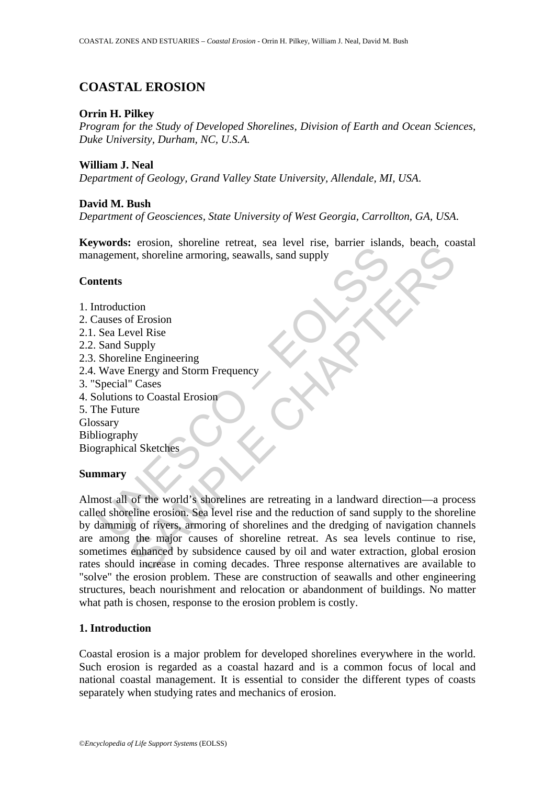## **COASTAL EROSION**

### **Orrin H. Pilkey**

*Program for the Study of Developed Shorelines, Division of Earth and Ocean Sciences, Duke University, Durham, NC, U.S.A.*

**William J. Neal**

*Department of Geology, Grand Valley State University, Allendale, MI, USA*.

## **David M. Bush**

*Department of Geosciences, State University of West Georgia, Carrollton, GA, USA*.

**Keywords:** erosion, shoreline retreat, sea level rise, barrier islands, beach, coastal management, shoreline armoring, seawalls, sand supply

### **Contents**

Moral Control Control Control Control Control Control Control Control Control<br>
agement, shoreline amorring, seawalls, sand supply<br> **Control**<br>
at a date of Erosion<br>
Sea Level Rise<br>
Sand Supply<br>
Shoreline Engineering<br>
Wave E 1. Introduction 2. Causes of Erosion 2.1. Sea Level Rise 2.2. Sand Supply 2.3. Shoreline Engineering 2.4. Wave Energy and Storm Frequency 3. "Special" Cases 4. Solutions to Coastal Erosion 5. The Future Glossary Bibliography Biographical Sketches **Summary** 

# Consider a moving seawalls, sand supply<br>that, shoreline armoring, seawalls, sand supply<br>that, shoreline armoring, seawalls, sand supply<br>well Rise<br>ine Engineering<br>Energy and Storm Frequency<br>Cases<br>to Coastal Erosion<br>are<br>the Almost all of the world's shorelines are retreating in a landward direction—a process called shoreline erosion. Sea level rise and the reduction of sand supply to the shoreline by damming of rivers, armoring of shorelines and the dredging of navigation channels are among the major causes of shoreline retreat. As sea levels continue to rise, sometimes enhanced by subsidence caused by oil and water extraction, global erosion rates should increase in coming decades. Three response alternatives are available to "solve" the erosion problem. These are construction of seawalls and other engineering structures, beach nourishment and relocation or abandonment of buildings. No matter what path is chosen, response to the erosion problem is costly.

### **1. Introduction**

Coastal erosion is a major problem for developed shorelines everywhere in the world. Such erosion is regarded as a coastal hazard and is a common focus of local and national coastal management. It is essential to consider the different types of coasts separately when studying rates and mechanics of erosion.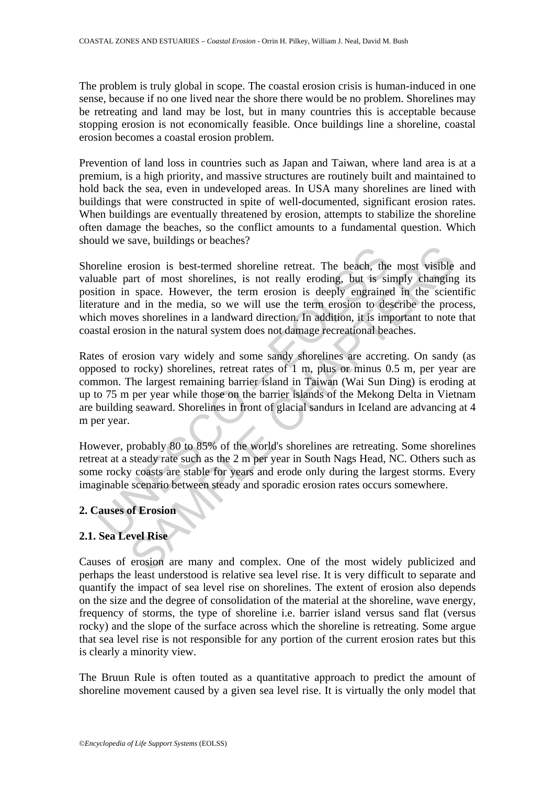The problem is truly global in scope. The coastal erosion crisis is human-induced in one sense, because if no one lived near the shore there would be no problem. Shorelines may be retreating and land may be lost, but in many countries this is acceptable because stopping erosion is not economically feasible. Once buildings line a shoreline, coastal erosion becomes a coastal erosion problem.

Prevention of land loss in countries such as Japan and Taiwan, where land area is at a premium, is a high priority, and massive structures are routinely built and maintained to hold back the sea, even in undeveloped areas. In USA many shorelines are lined with buildings that were constructed in spite of well-documented, significant erosion rates. When buildings are eventually threatened by erosion, attempts to stabilize the shoreline often damage the beaches, so the conflict amounts to a fundamental question. Which should we save, buildings or beaches?

Shoreline erosion is best-termed shoreline retreat. The beach, the most visible and valuable part of most shorelines, is not really eroding, but is simply changing its position in space. However, the term erosion is deeply engrained in the scientific literature and in the media, so we will use the term erosion to describe the process, which moves shorelines in a landward direction. In addition, it is important to note that coastal erosion in the natural system does not damage recreational beaches.

reline erosion is best-termed shoreline retreat. The beach, the ratio in space. However, the term erosion is deply engineed at at a so we will use the term erosion is deply enginement at a mean the media, so we will use th erosion is best-termed shoreline retreat. The beach, the most visible and the resor shorelines, is not really eroding, but is simply changing at space. However, the term erosion is deeply engrained in the scienting in spac Rates of erosion vary widely and some sandy shorelines are accreting. On sandy (as opposed to rocky) shorelines, retreat rates of 1 m, plus or minus 0.5 m, per year are common. The largest remaining barrier island in Taiwan (Wai Sun Ding) is eroding at up to 75 m per year while those on the barrier islands of the Mekong Delta in Vietnam are building seaward. Shorelines in front of glacial sandurs in Iceland are advancing at 4 m per year.

However, probably 80 to 85% of the world's shorelines are retreating. Some shorelines retreat at a steady rate such as the 2 m per year in South Nags Head, NC. Others such as some rocky coasts are stable for years and erode only during the largest storms. Every imaginable scenario between steady and sporadic erosion rates occurs somewhere.

### **2. Causes of Erosion**

### **2.1. Sea Level Rise**

Causes of erosion are many and complex. One of the most widely publicized and perhaps the least understood is relative sea level rise. It is very difficult to separate and quantify the impact of sea level rise on shorelines. The extent of erosion also depends on the size and the degree of consolidation of the material at the shoreline, wave energy, frequency of storms, the type of shoreline i.e. barrier island versus sand flat (versus rocky) and the slope of the surface across which the shoreline is retreating. Some argue that sea level rise is not responsible for any portion of the current erosion rates but this is clearly a minority view.

The Bruun Rule is often touted as a quantitative approach to predict the amount of shoreline movement caused by a given sea level rise. It is virtually the only model that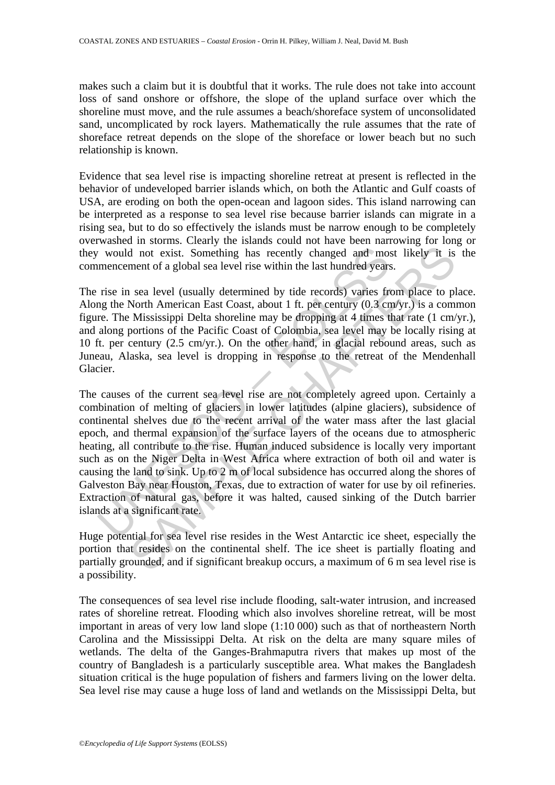makes such a claim but it is doubtful that it works. The rule does not take into account loss of sand onshore or offshore, the slope of the upland surface over which the shoreline must move, and the rule assumes a beach/shoreface system of unconsolidated sand, uncomplicated by rock layers. Mathematically the rule assumes that the rate of shoreface retreat depends on the slope of the shoreface or lower beach but no such relationship is known.

Evidence that sea level rise is impacting shoreline retreat at present is reflected in the behavior of undeveloped barrier islands which, on both the Atlantic and Gulf coasts of USA, are eroding on both the open-ocean and lagoon sides. This island narrowing can be interpreted as a response to sea level rise because barrier islands can migrate in a rising sea, but to do so effectively the islands must be narrow enough to be completely overwashed in storms. Clearly the islands could not have been narrowing for long or they would not exist. Something has recently changed and most likely it is the commencement of a global sea level rise within the last hundred years.

The rise in sea level (usually determined by tide records) varies from place to place. Along the North American East Coast, about 1 ft. per century (0.3 cm/yr.) is a common figure. The Mississippi Delta shoreline may be dropping at 4 times that rate (1 cm/yr.), and along portions of the Pacific Coast of Colombia, sea level may be locally rising at 10 ft. per century (2.5 cm/yr.). On the other hand, in glacial rebound areas, such as Juneau, Alaska, sea level is dropping in response to the retreat of the Mendenhall Glacier.

would not exist. Something has recently changed and momencement of a global sea level rise within the last hundred years<br>rise in sea level (usually determined by tide records) varies from<br>gradient Dariton Manerican East C d not exist. Something has recently changed and most likely it is<br>ment of a global sea level rise within the last hundred years.<br>In sea level (usually determined by tide records) varies from place to pl<br>North American East The causes of the current sea level rise are not completely agreed upon. Certainly a combination of melting of glaciers in lower latitudes (alpine glaciers), subsidence of continental shelves due to the recent arrival of the water mass after the last glacial epoch, and thermal expansion of the surface layers of the oceans due to atmospheric heating, all contribute to the rise. Human induced subsidence is locally very important such as on the Niger Delta in West Africa where extraction of both oil and water is causing the land to sink. Up to 2 m of local subsidence has occurred along the shores of Galveston Bay near Houston, Texas, due to extraction of water for use by oil refineries. Extraction of natural gas, before it was halted, caused sinking of the Dutch barrier islands at a significant rate.

Huge potential for sea level rise resides in the West Antarctic ice sheet, especially the portion that resides on the continental shelf. The ice sheet is partially floating and partially grounded, and if significant breakup occurs, a maximum of 6 m sea level rise is a possibility.

The consequences of sea level rise include flooding, salt-water intrusion, and increased rates of shoreline retreat. Flooding which also involves shoreline retreat, will be most important in areas of very low land slope (1:10 000) such as that of northeastern North Carolina and the Mississippi Delta. At risk on the delta are many square miles of wetlands. The delta of the Ganges-Brahmaputra rivers that makes up most of the country of Bangladesh is a particularly susceptible area. What makes the Bangladesh situation critical is the huge population of fishers and farmers living on the lower delta. Sea level rise may cause a huge loss of land and wetlands on the Mississippi Delta, but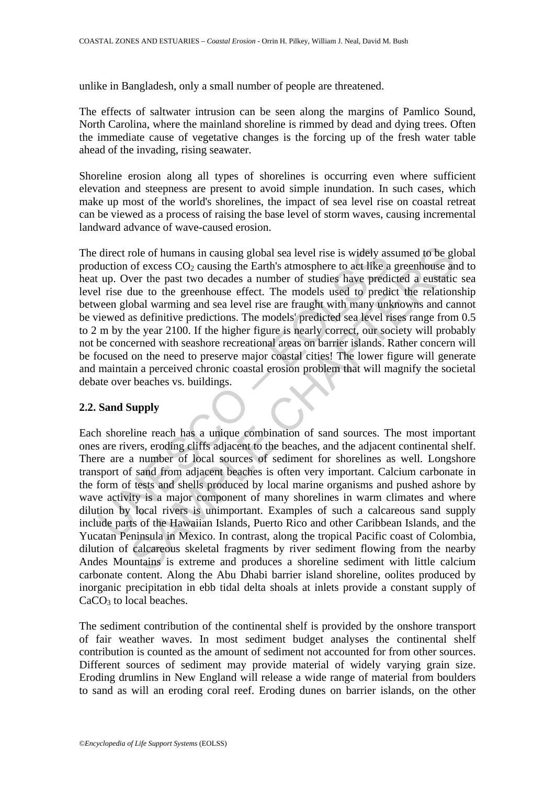unlike in Bangladesh, only a small number of people are threatened.

The effects of saltwater intrusion can be seen along the margins of Pamlico Sound, North Carolina, where the mainland shoreline is rimmed by dead and dying trees. Often the immediate cause of vegetative changes is the forcing up of the fresh water table ahead of the invading, rising seawater.

Shoreline erosion along all types of shorelines is occurring even where sufficient elevation and steepness are present to avoid simple inundation. In such cases, which make up most of the world's shorelines, the impact of sea level rise on coastal retreat can be viewed as a process of raising the base level of storm waves, causing incremental landward advance of wave-caused erosion.

direct role of humans in causing global sea level rise is widely as<br>duction of excess CO<sub>2</sub> causing the Earth's atmosphere to act like a<br>up. Over the past two decades a number of studies have predid<br>rise due to the greenho The direct role of humans in causing global sea level rise is widely assumed to be global production of excess  $CO<sub>2</sub>$  causing the Earth's atmosphere to act like a greenhouse and to heat up. Over the past two decades a number of studies have predicted a eustatic sea level rise due to the greenhouse effect. The models used to predict the relationship between global warming and sea level rise are fraught with many unknowns and cannot be viewed as definitive predictions. The models' predicted sea level rises range from 0.5 to 2 m by the year 2100. If the higher figure is nearly correct, our society will probably not be concerned with seashore recreational areas on barrier islands. Rather concern will be focused on the need to preserve major coastal cities! The lower figure will generate and maintain a perceived chronic coastal erosion problem that will magnify the societal debate over beaches vs. buildings.

#### **2.2. Sand Supply**

role of humans in causing global sea level rise is widely assumed to be gl<br>of excess CO<sub>2</sub> causing the Earth's atmosphere to act like a greenhouse art<br>or the past two deceades a number of studies have predicted a eustatic<br> Each shoreline reach has a unique combination of sand sources. The most important ones are rivers, eroding cliffs adjacent to the beaches, and the adjacent continental shelf. There are a number of local sources of sediment for shorelines as well. Longshore transport of sand from adjacent beaches is often very important. Calcium carbonate in the form of tests and shells produced by local marine organisms and pushed ashore by wave activity is a major component of many shorelines in warm climates and where dilution by local rivers is unimportant. Examples of such a calcareous sand supply include parts of the Hawaiian Islands, Puerto Rico and other Caribbean Islands, and the Yucatan Peninsula in Mexico. In contrast, along the tropical Pacific coast of Colombia, dilution of calcareous skeletal fragments by river sediment flowing from the nearby Andes Mountains is extreme and produces a shoreline sediment with little calcium carbonate content. Along the Abu Dhabi barrier island shoreline, oolites produced by inorganic precipitation in ebb tidal delta shoals at inlets provide a constant supply of CaCO<sub>3</sub> to local beaches.

The sediment contribution of the continental shelf is provided by the onshore transport of fair weather waves. In most sediment budget analyses the continental shelf contribution is counted as the amount of sediment not accounted for from other sources. Different sources of sediment may provide material of widely varying grain size. Eroding drumlins in New England will release a wide range of material from boulders to sand as will an eroding coral reef. Eroding dunes on barrier islands, on the other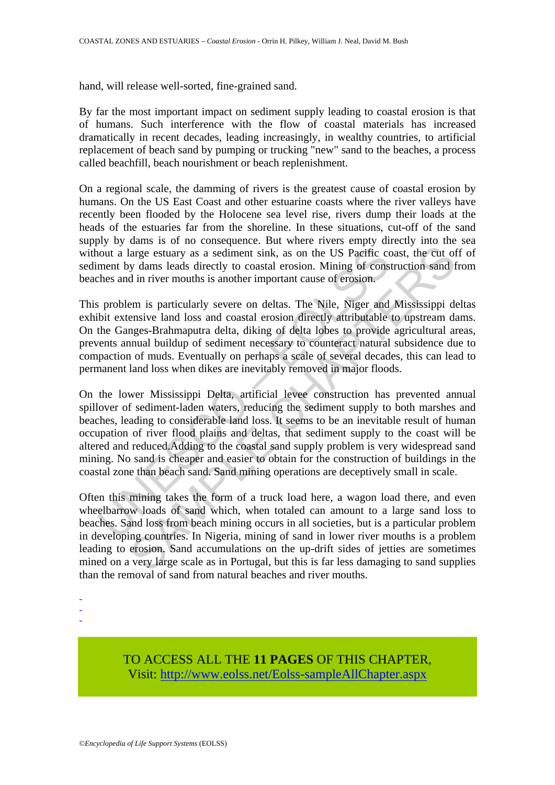hand, will release well-sorted, fine-grained sand.

By far the most important impact on sediment supply leading to coastal erosion is that of humans. Such interference with the flow of coastal materials has increased dramatically in recent decades, leading increasingly, in wealthy countries, to artificial replacement of beach sand by pumping or trucking "new" sand to the beaches, a process called beachfill, beach nourishment or beach replenishment.

On a regional scale, the damming of rivers is the greatest cause of coastal erosion by humans. On the US East Coast and other estuarine coasts where the river valleys have recently been flooded by the Holocene sea level rise, rivers dump their loads at the heads of the estuaries far from the shoreline. In these situations, cut-off of the sand supply by dams is of no consequence. But where rivers empty directly into the sea without a large estuary as a sediment sink, as on the US Pacific coast, the cut off of sediment by dams leads directly to coastal erosion. Mining of construction sand from beaches and in river mouths is another important cause of erosion.

This problem is particularly severe on deltas. The Nile, Niger and Mississippi deltas exhibit extensive land loss and coastal erosion directly attributable to upstream dams. On the Ganges-Brahmaputra delta, diking of delta lobes to provide agricultural areas, prevents annual buildup of sediment necessary to counteract natural subsidence due to compaction of muds. Eventually on perhaps a scale of several decades, this can lead to permanent land loss when dikes are inevitably removed in major floods.

From the stuary as a sediment sink, as on the US Paerific coment by dams leads directly to coastal erosion. Mining of consches and in river mouths is another important cause of erosion.<br>Sproblem is particularly severe on d large estuary as a sediment sink, as on the US Paeffic coast, the cut of<br>large estuary as a sediment sink, as on the US Paeffic coast, the cut of<br>y dams leads directly to coastal erosion. Mining of construction sand<br>f d in On the lower Mississippi Delta, artificial levee construction has prevented annual spillover of sediment-laden waters, reducing the sediment supply to both marshes and beaches, leading to considerable land loss. It seems to be an inevitable result of human occupation of river flood plains and deltas, that sediment supply to the coast will be altered and reduced.Adding to the coastal sand supply problem is very widespread sand mining. No sand is cheaper and easier to obtain for the construction of buildings in the coastal zone than beach sand. Sand mining operations are deceptively small in scale.

Often this mining takes the form of a truck load here, a wagon load there, and even wheelbarrow loads of sand which, when totaled can amount to a large sand loss to beaches. Sand loss from beach mining occurs in all societies, but is a particular problem in developing countries. In Nigeria, mining of sand in lower river mouths is a problem leading to erosion. Sand accumulations on the up-drift sides of jetties are sometimes mined on a very large scale as in Portugal, but this is far less damaging to sand supplies than the removal of sand from natural beaches and river mouths.

- -

-

TO ACCESS ALL THE **11 PAGES** OF THIS CHAPTER, Visit[: http://www.eolss.net/Eolss-sampleAllChapter.aspx](https://www.eolss.net/ebooklib/sc_cart.aspx?File=E2-06-01-01)